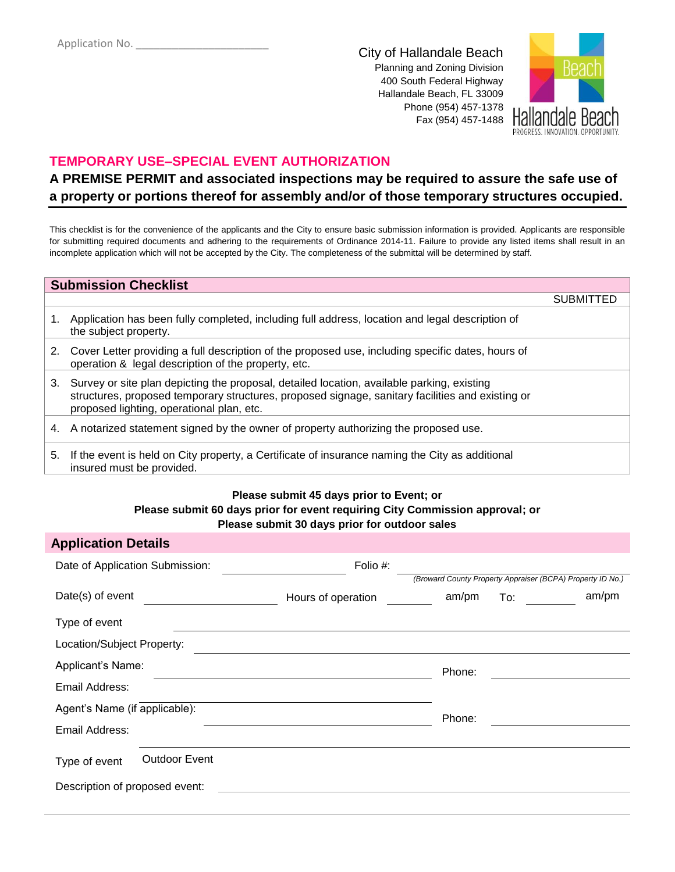City of Hallandale Beach Planning and Zoning Division 400 South Federal Highway Hallandale Beach, FL 33009 Phone (954) 457-1378 Fax (954) 457-1488



# **TEMPORARY USE–SPECIAL EVENT AUTHORIZATION**

# **A PREMISE PERMIT and associated inspections may be required to assure the safe use of a property or portions thereof for assembly and/or of those temporary structures occupied.**

This checklist is for the convenience of the applicants and the City to ensure basic submission information is provided. Applicants are responsible for submitting required documents and adhering to the requirements of Ordinance 2014-11. Failure to provide any listed items shall result in an incomplete application which will not be accepted by the City. The completeness of the submittal will be determined by staff.

|    | <b>Submission Checklist</b>                                                                                                                                                                                                                 |                  |
|----|---------------------------------------------------------------------------------------------------------------------------------------------------------------------------------------------------------------------------------------------|------------------|
|    |                                                                                                                                                                                                                                             | <b>SUBMITTED</b> |
| 1. | Application has been fully completed, including full address, location and legal description of<br>the subject property.                                                                                                                    |                  |
| 2. | Cover Letter providing a full description of the proposed use, including specific dates, hours of<br>operation & legal description of the property, etc.                                                                                    |                  |
| 3. | Survey or site plan depicting the proposal, detailed location, available parking, existing<br>structures, proposed temporary structures, proposed signage, sanitary facilities and existing or<br>proposed lighting, operational plan, etc. |                  |
| 4. | A notarized statement signed by the owner of property authorizing the proposed use.                                                                                                                                                         |                  |
| 5. | If the event is held on City property, a Certificate of insurance naming the City as additional<br>insured must be provided.                                                                                                                |                  |

#### **Please submit 45 days prior to Event; or Please submit 60 days prior for event requiring City Commission approval; or Please submit 30 days prior for outdoor sales**

## **Application Details**

| Date of Application Submission: |                      | Folio #:           |                                                            |                   |       |
|---------------------------------|----------------------|--------------------|------------------------------------------------------------|-------------------|-------|
|                                 |                      |                    | (Broward County Property Appraiser (BCPA) Property ID No.) |                   |       |
| Date(s) of event                |                      | Hours of operation | am/pm                                                      | $\frac{1}{2}$ To: | am/pm |
| Type of event                   |                      |                    |                                                            |                   |       |
| Location/Subject Property:      |                      |                    |                                                            |                   |       |
| Applicant's Name:               |                      |                    | Phone:                                                     |                   |       |
| Email Address:                  |                      |                    |                                                            |                   |       |
| Agent's Name (if applicable):   |                      |                    | Phone:                                                     |                   |       |
| Email Address:                  |                      |                    |                                                            |                   |       |
| Type of event                   | <b>Outdoor Event</b> |                    |                                                            |                   |       |
|                                 |                      |                    |                                                            |                   |       |
| Description of proposed event:  |                      |                    |                                                            |                   |       |
|                                 |                      |                    |                                                            |                   |       |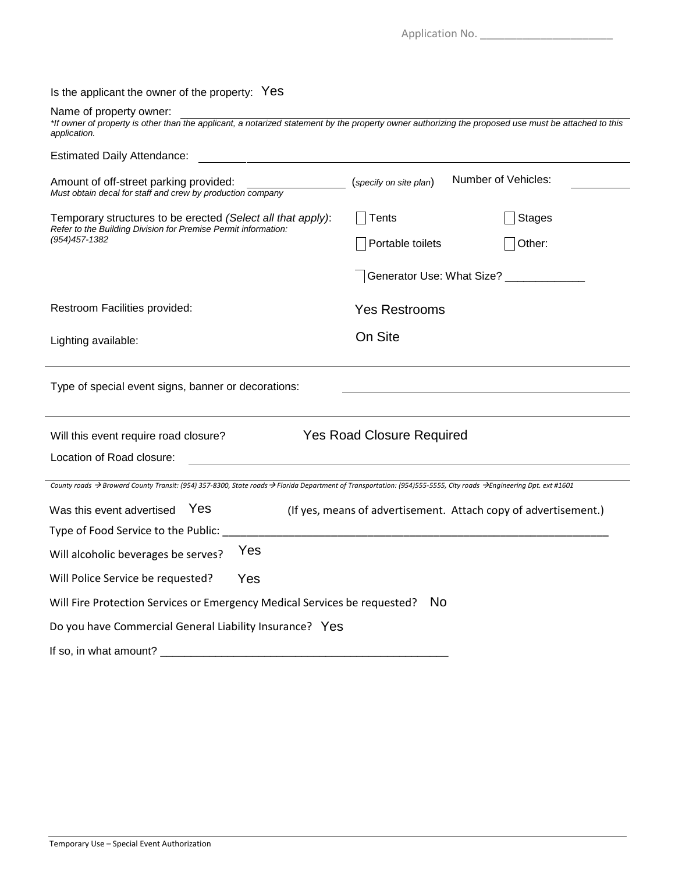| Is the applicant the owner of the property: Yes<br>Name of property owner:<br>*If owner of property is other than the applicant, a notarized statement by the property owner authorizing the proposed use must be attached to this<br>application.<br><b>Estimated Daily Attendance:</b> |                                                                 |
|------------------------------------------------------------------------------------------------------------------------------------------------------------------------------------------------------------------------------------------------------------------------------------------|-----------------------------------------------------------------|
| Amount of off-street parking provided:<br>Must obtain decal for staff and crew by production company                                                                                                                                                                                     | Number of Vehicles:<br>(specify on site plan)                   |
| Temporary structures to be erected (Select all that apply):<br>Refer to the Building Division for Premise Permit information:<br>(954) 457-1382                                                                                                                                          | Tents<br><b>Stages</b><br>Portable toilets<br>Other:            |
|                                                                                                                                                                                                                                                                                          | Generator Use: What Size? _____________                         |
| Restroom Facilities provided:                                                                                                                                                                                                                                                            | <b>Yes Restrooms</b>                                            |
| Lighting available:                                                                                                                                                                                                                                                                      | On Site                                                         |
| Type of special event signs, banner or decorations:                                                                                                                                                                                                                                      |                                                                 |
| Will this event require road closure?<br>Location of Road closure:                                                                                                                                                                                                                       | <b>Yes Road Closure Required</b>                                |
| County roads $\rightarrow$ Broward County Transit: (954) 357-8300, State roads $\rightarrow$ Florida Department of Transportation: (954)555-5555, City roads $\rightarrow$ Engineering Dpt. ext #1601                                                                                    |                                                                 |
| <b>Yes</b><br>Was this event advertised<br>Type of Food Service to the Public:                                                                                                                                                                                                           | (If yes, means of advertisement. Attach copy of advertisement.) |
| Yes<br>Will alcoholic beverages be serves?                                                                                                                                                                                                                                               |                                                                 |
| Yes<br>Will Police Service be requested?                                                                                                                                                                                                                                                 |                                                                 |
| Will Fire Protection Services or Emergency Medical Services be requested?                                                                                                                                                                                                                | <b>No</b>                                                       |
| Do you have Commercial General Liability Insurance? Yes                                                                                                                                                                                                                                  |                                                                 |
| If so, in what amount? _________                                                                                                                                                                                                                                                         |                                                                 |

Application No. \_\_\_\_\_\_\_\_\_\_\_\_\_\_\_\_\_\_\_\_\_\_